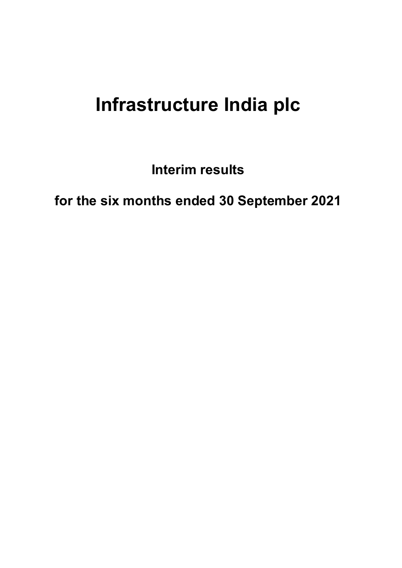# **Infrastructure India plc**

**Interim results**

**for the six months ended 30 September 2021**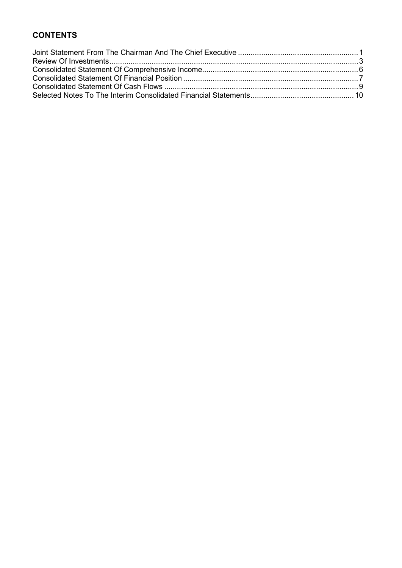# **CONTENTS**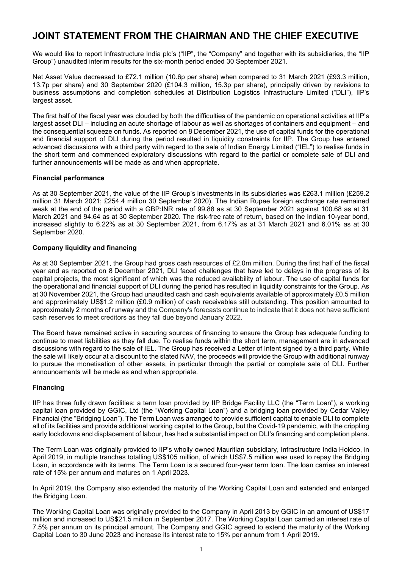# <span id="page-2-0"></span>**JOINT STATEMENT FROM THE CHAIRMAN AND THE CHIEF EXECUTIVE**

We would like to report Infrastructure India plc's ("IIP", the "Company" and together with its subsidiaries, the "IIP Group") unaudited interim results for the six-month period ended 30 September 2021.

Net Asset Value decreased to £72.1 million (10.6p per share) when compared to 31 March 2021 (£93.3 million, 13.7p per share) and 30 September 2020 (£104.3 million, 15.3p per share), principally driven by revisions to business assumptions and completion schedules at Distribution Logistics Infrastructure Limited ("DLI"), IIP's largest asset.

The first half of the fiscal year was clouded by both the difficulties of the pandemic on operational activities at IIP's largest asset DLI – including an acute shortage of labour as well as shortages of containers and equipment – and the consequential squeeze on funds. As reported on 8 December 2021, the use of capital funds for the operational and financial support of DLI during the period resulted in liquidity constraints for IIP. The Group has entered advanced discussions with a third party with regard to the sale of Indian Energy Limited ("IEL") to realise funds in the short term and commenced exploratory discussions with regard to the partial or complete sale of DLI and further announcements will be made as and when appropriate.

### **Financial performance**

As at 30 September 2021, the value of the IIP Group's investments in its subsidiaries was £263.1 million (£259.2 million 31 March 2021; £254.4 million 30 September 2020). The Indian Rupee foreign exchange rate remained weak at the end of the period with a GBP:INR rate of 99.88 as at 30 September 2021 against 100.68 as at 31 March 2021 and 94.64 as at 30 September 2020. The risk-free rate of return, based on the Indian 10-year bond, increased slightly to 6.22% as at 30 September 2021, from 6.17% as at 31 March 2021 and 6.01% as at 30 September 2020.

### **Company liquidity and financing**

As at 30 September 2021, the Group had gross cash resources of £2.0m million. During the first half of the fiscal year and as reported on 8 December 2021, DLI faced challenges that have led to delays in the progress of its capital projects, the most significant of which was the reduced availability of labour. The use of capital funds for the operational and financial support of DLI during the period has resulted in liquidity constraints for the Group. As at 30 November 2021, the Group had unaudited cash and cash equivalents available of approximately £0.5 million and approximately US\$1.2 million (£0.9 million) of cash receivables still outstanding. This position amounted to approximately 2 months of runway and the Company's forecasts continue to indicate that it does not have sufficient cash reserves to meet creditors as they fall due beyond January 2022.

The Board have remained active in securing sources of financing to ensure the Group has adequate funding to continue to meet liabilities as they fall due. To realise funds within the short term, management are in advanced discussions with regard to the sale of IEL. The Group has received a Letter of Intent signed by a third party. While the sale will likely occur at a discount to the stated NAV, the proceeds will provide the Group with additional runway to pursue the monetisation of other assets, in particular through the partial or complete sale of DLI. Further announcements will be made as and when appropriate.

### **Financing**

IIP has three fully drawn facilities: a term loan provided by IIP Bridge Facility LLC (the "Term Loan"), a working capital loan provided by GGIC, Ltd (the "Working Capital Loan") and a bridging loan provided by Cedar Valley Financial (the "Bridging Loan"). The Term Loan was arranged to provide sufficient capital to enable DLI to complete all of its facilities and provide additional working capital to the Group, but the Covid-19 pandemic, with the crippling early lockdowns and displacement of labour, has had a substantial impact on DLI's financing and completion plans.

The Term Loan was originally provided to IIP's wholly owned Mauritian subsidiary, Infrastructure India Holdco, in April 2019, in multiple tranches totalling US\$105 million, of which US\$7.5 million was used to repay the Bridging Loan, in accordance with its terms. The Term Loan is a secured four-year term loan. The loan carries an interest rate of 15% per annum and matures on 1 April 2023.

In April 2019, the Company also extended the maturity of the Working Capital Loan and extended and enlarged the Bridging Loan.

The Working Capital Loan was originally provided to the Company in April 2013 by GGIC in an amount of US\$17 million and increased to US\$21.5 million in September 2017. The Working Capital Loan carried an interest rate of 7.5% per annum on its principal amount. The Company and GGIC agreed to extend the maturity of the Working Capital Loan to 30 June 2023 and increase its interest rate to 15% per annum from 1 April 2019.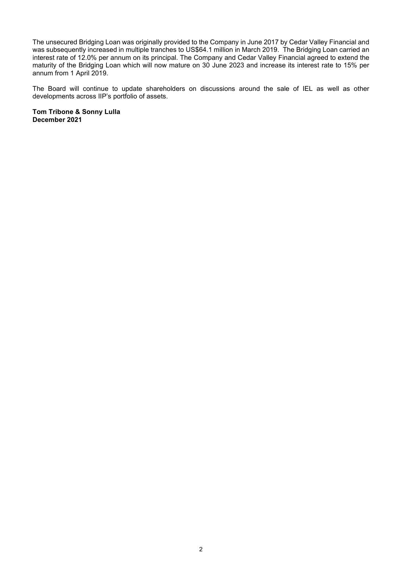The unsecured Bridging Loan was originally provided to the Company in June 2017 by Cedar Valley Financial and was subsequently increased in multiple tranches to US\$64.1 million in March 2019. The Bridging Loan carried an interest rate of 12.0% per annum on its principal. The Company and Cedar Valley Financial agreed to extend the maturity of the Bridging Loan which will now mature on 30 June 2023 and increase its interest rate to 15% per annum from 1 April 2019.

The Board will continue to update shareholders on discussions around the sale of IEL as well as other developments across IIP's portfolio of assets.

**Tom Tribone & Sonny Lulla December 2021**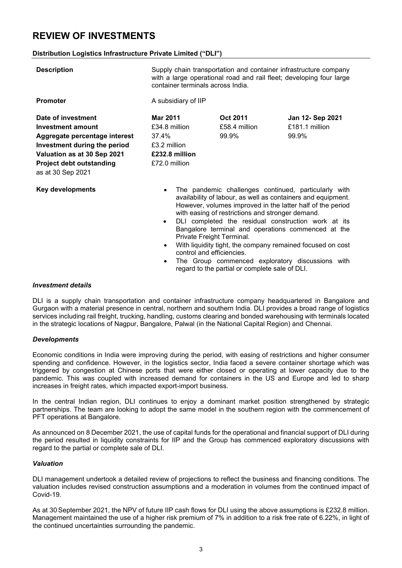# <span id="page-4-0"></span>**REVIEW OF INVESTMENTS**

#### **Distribution Logistics Infrastructure Private Limited ("DLI")**

| <b>Description</b>                                                                                                                                                                              | Supply chain transportation and container infrastructure company<br>with a large operational road and rail fleet; developing four large<br>container terminals across India.                                                                                                                                                                                                                               |                                    |                                                    |  |
|-------------------------------------------------------------------------------------------------------------------------------------------------------------------------------------------------|------------------------------------------------------------------------------------------------------------------------------------------------------------------------------------------------------------------------------------------------------------------------------------------------------------------------------------------------------------------------------------------------------------|------------------------------------|----------------------------------------------------|--|
| <b>Promoter</b>                                                                                                                                                                                 | A subsidiary of IIP                                                                                                                                                                                                                                                                                                                                                                                        |                                    |                                                    |  |
| Date of investment<br>Investment amount<br>Aggregate percentage interest<br>Investment during the period<br>Valuation as at 30 Sep 2021<br><b>Project debt outstanding</b><br>as at 30 Sep 2021 | <b>Mar 2011</b><br>£34.8 million<br>37.4%<br>£3.2 million<br>£232.8 million<br>£72.0 million                                                                                                                                                                                                                                                                                                               | Oct 2011<br>£58.4 million<br>99.9% | <b>Jan 12- Sep 2021</b><br>£181.1 million<br>99.9% |  |
| <b>Key developments</b>                                                                                                                                                                         | The pandemic challenges continued, particularly with<br>$\bullet$<br>availability of labour, as well as containers and equipment.<br>However, volumes improved in the latter half of the period<br>with easing of restrictions and stronger demand.<br>DLI completed the residual construction work at its<br>$\bullet$<br>Bangalore terminal and operations commenced at the<br>Private Freight Terminal. |                                    |                                                    |  |

- With liquidity tight, the company remained focused on cost control and efficiencies.
- The Group commenced exploratory discussions with regard to the partial or complete sale of DLI.

#### *Investment details*

DLI is a supply chain transportation and container infrastructure company headquartered in Bangalore and Gurgaon with a material presence in central, northern and southern India. DLI provides a broad range of logistics services including rail freight, trucking, handling, customs clearing and bonded warehousing with terminals located in the strategic locations of Nagpur, Bangalore, Palwal (in the National Capital Region) and Chennai.

#### *Developments*

Economic conditions in India were improving during the period, with easing of restrictions and higher consumer spending and confidence. However, in the logistics sector, India faced a severe container shortage which was triggered by congestion at Chinese ports that were either closed or operating at lower capacity due to the pandemic. This was coupled with increased demand for containers in the US and Europe and led to sharp increases in freight rates, which impacted export-import business.

In the central Indian region, DLI continues to enjoy a dominant market position strengthened by strategic partnerships. The team are looking to adopt the same model in the southern region with the commencement of PFT operations at Bangalore.

As announced on 8 December 2021, the use of capital funds for the operational and financial support of DLI during the period resulted in liquidity constraints for IIP and the Group has commenced exploratory discussions with regard to the partial or complete sale of DLI.

#### *Valuation*

DLI management undertook a detailed review of projections to reflect the business and financing conditions. The valuation includes revised construction assumptions and a moderation in volumes from the continued impact of Covid-19.

As at 30 September 2021, the NPV of future IIP cash flows for DLI using the above assumptions is £232.8 million. Management maintained the use of a higher risk premium of 7% in addition to a risk free rate of 6.22%, in light of the continued uncertainties surrounding the pandemic.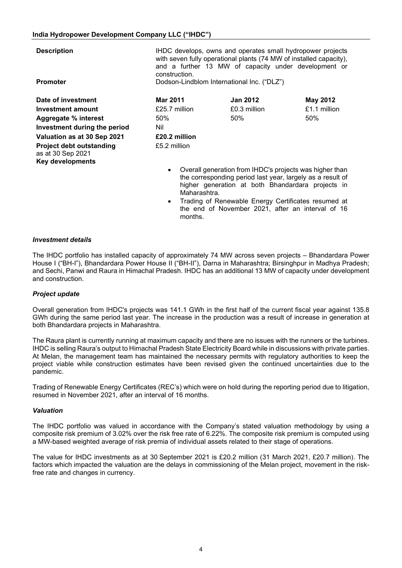**Description IHDC** develops, owns and operates small hydropower projects with seven fully operational plants (74 MW of installed capacity), and a further 13 MW of capacity under development or construction.

**Promoter Dodson-Lindblom International Inc. ("DLZ")** 

|               |              | May 2012        |
|---------------|--------------|-----------------|
| £25.7 million | £0.3 million | £1.1 million    |
| 50%           | 50%          | 50%             |
| Nil           |              |                 |
| £20.2 million |              |                 |
| £5.2 million  |              |                 |
|               | Mar 2011     | <b>Jan 2012</b> |

- Overall generation from IHDC's projects was higher than the corresponding period last year, largely as a result of higher generation at both Bhandardara projects in Maharashtra.
- Trading of Renewable Energy Certificates resumed at the end of November 2021, after an interval of 16 months.

#### *Investment details*

The IHDC portfolio has installed capacity of approximately 74 MW across seven projects – Bhandardara Power House I ("BH-I"), Bhandardara Power House II ("BH-II"), Darna in Maharashtra; Birsinghpur in Madhya Pradesh; and Sechi, Panwi and Raura in Himachal Pradesh. IHDC has an additional 13 MW of capacity under development and construction.

### *Project update*

Overall generation from IHDC's projects was 141.1 GWh in the first half of the current fiscal year against 135.8 GWh during the same period last year. The increase in the production was a result of increase in generation at both Bhandardara projects in Maharashtra.

The Raura plant is currently running at maximum capacity and there are no issues with the runners or the turbines. IHDC is selling Raura's output to Himachal Pradesh State Electricity Board while in discussions with private parties. At Melan, the management team has maintained the necessary permits with regulatory authorities to keep the project viable while construction estimates have been revised given the continued uncertainties due to the pandemic.

Trading of Renewable Energy Certificates (REC's) which were on hold during the reporting period due to litigation, resumed in November 2021, after an interval of 16 months.

#### *Valuation*

The IHDC portfolio was valued in accordance with the Company's stated valuation methodology by using a composite risk premium of 3.02% over the risk free rate of 6.22%. The composite risk premium is computed using a MW-based weighted average of risk premia of individual assets related to their stage of operations.

The value for IHDC investments as at 30 September 2021 is £20.2 million (31 March 2021, £20.7 million). The factors which impacted the valuation are the delays in commissioning of the Melan project, movement in the riskfree rate and changes in currency.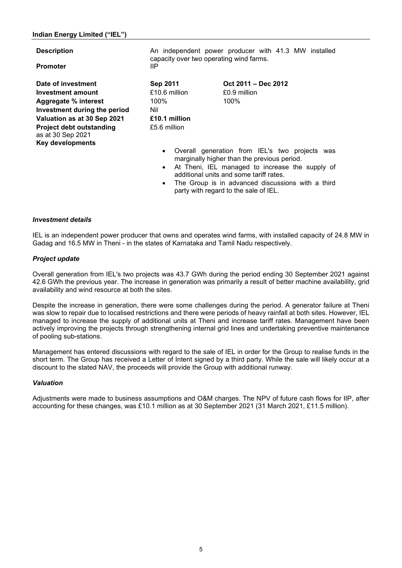#### **Indian Energy Limited ("IEL")**

| <b>Description</b>                                                              | An independent power producer with 41.3 MW installed<br>capacity over two operating wind farms. |                                              |  |  |  |
|---------------------------------------------------------------------------------|-------------------------------------------------------------------------------------------------|----------------------------------------------|--|--|--|
| <b>Promoter</b>                                                                 | ШP                                                                                              |                                              |  |  |  |
| Date of investment                                                              | Sep 2011                                                                                        | Oct 2011 – Dec 2012                          |  |  |  |
| Investment amount                                                               | £10.6 million                                                                                   | £0.9 million                                 |  |  |  |
| Aggregate % interest                                                            | 100%                                                                                            | 100%                                         |  |  |  |
| Investment during the period                                                    | Nil                                                                                             |                                              |  |  |  |
| Valuation as at 30 Sep 2021                                                     | £10.1 million                                                                                   |                                              |  |  |  |
| <b>Project debt outstanding</b><br>as at 30 Sep 2021<br><b>Key developments</b> | £5.6 million                                                                                    |                                              |  |  |  |
|                                                                                 | Overall<br>$\bullet$                                                                            | generation from IEL's two<br>projects<br>was |  |  |  |

- marginally higher than the previous period. • At Theni, IEL managed to increase the supply of additional units and some tariff rates.
- The Group is in advanced discussions with a third party with regard to the sale of IEL.

#### *Investment details*

IEL is an independent power producer that owns and operates wind farms, with installed capacity of 24.8 MW in Gadag and 16.5 MW in Theni - in the states of Karnataka and Tamil Nadu respectively.

#### *Project update*

Overall generation from IEL's two projects was 43.7 GWh during the period ending 30 September 2021 against 42.6 GWh the previous year. The increase in generation was primarily a result of better machine availability, grid availability and wind resource at both the sites.

Despite the increase in generation, there were some challenges during the period. A generator failure at Theni was slow to repair due to localised restrictions and there were periods of heavy rainfall at both sites. However, IEL managed to increase the supply of additional units at Theni and increase tariff rates. Management have been actively improving the projects through strengthening internal grid lines and undertaking preventive maintenance of pooling sub-stations.

Management has entered discussions with regard to the sale of IEL in order for the Group to realise funds in the short term. The Group has received a Letter of Intent signed by a third party. While the sale will likely occur at a discount to the stated NAV, the proceeds will provide the Group with additional runway.

#### *Valuation*

Adjustments were made to business assumptions and O&M charges. The NPV of future cash flows for IIP, after accounting for these changes, was £10.1 million as at 30 September 2021 (31 March 2021, £11.5 million).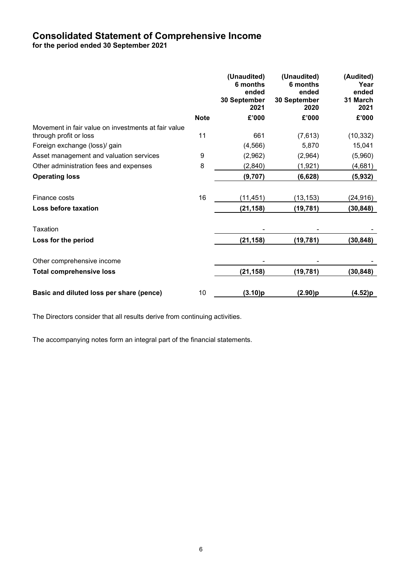# <span id="page-7-0"></span>**Consolidated Statement of Comprehensive Income for the period ended 30 September 2021**

|                                                                               |             | (Unaudited)<br>6 months<br>ended<br>30 September<br>2021 | (Unaudited)<br>6 months<br>ended<br>30 September<br>2020 | (Audited)<br>Year<br>ended<br>31 March<br>2021 |
|-------------------------------------------------------------------------------|-------------|----------------------------------------------------------|----------------------------------------------------------|------------------------------------------------|
|                                                                               | <b>Note</b> | £'000                                                    | £'000                                                    | £'000                                          |
| Movement in fair value on investments at fair value<br>through profit or loss | 11          | 661                                                      | (7,613)                                                  | (10, 332)                                      |
| Foreign exchange (loss)/ gain                                                 |             | (4, 566)                                                 | 5,870                                                    | 15,041                                         |
| Asset management and valuation services                                       | 9           | (2,962)                                                  | (2,964)                                                  | (5,960)                                        |
| Other administration fees and expenses                                        | 8           | (2,840)                                                  | (1, 921)                                                 | (4,681)                                        |
| <b>Operating loss</b>                                                         |             | (9,707)                                                  | (6,628)                                                  | (5, 932)                                       |
| Finance costs                                                                 | 16          | (11, 451)                                                | (13, 153)                                                | (24,916)                                       |
| Loss before taxation                                                          |             | (21, 158)                                                | (19, 781)                                                | (30, 848)                                      |
| Taxation                                                                      |             |                                                          |                                                          |                                                |
| Loss for the period                                                           |             | (21, 158)                                                | (19,781)                                                 | (30,848)                                       |
| Other comprehensive income                                                    |             |                                                          |                                                          |                                                |
| <b>Total comprehensive loss</b>                                               |             | (21, 158)                                                | (19, 781)                                                | (30, 848)                                      |
| Basic and diluted loss per share (pence)                                      | 10          | (3.10)p                                                  | (2.90)p                                                  | (4.52)p                                        |

The Directors consider that all results derive from continuing activities.

The accompanying notes form an integral part of the financial statements.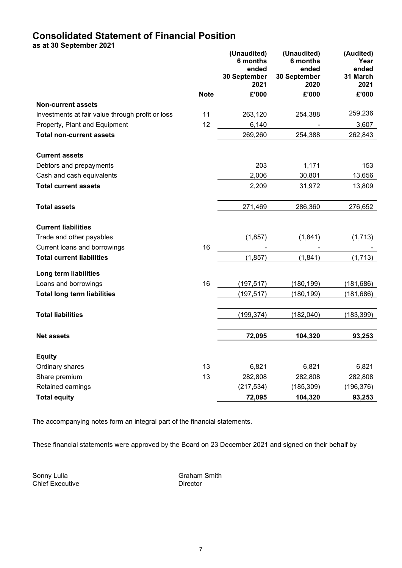# <span id="page-8-0"></span>**Consolidated Statement of Financial Position**

**as at 30 September 2021**

|                                                  |             | (Unaudited)<br>6 months<br>ended<br>30 September<br>2021 | (Unaudited)<br>6 months<br>ended<br>30 September<br>2020 | (Audited)<br>Year<br>ended<br>31 March<br>2021 |
|--------------------------------------------------|-------------|----------------------------------------------------------|----------------------------------------------------------|------------------------------------------------|
|                                                  | <b>Note</b> | £'000                                                    | £'000                                                    | £'000                                          |
| <b>Non-current assets</b>                        |             |                                                          |                                                          |                                                |
| Investments at fair value through profit or loss | 11          | 263,120                                                  | 254,388                                                  | 259,236                                        |
| Property, Plant and Equipment                    | 12          | 6,140                                                    |                                                          | 3,607                                          |
| <b>Total non-current assets</b>                  |             | 269,260                                                  | 254,388                                                  | 262,843                                        |
| <b>Current assets</b>                            |             |                                                          |                                                          |                                                |
| Debtors and prepayments                          |             | 203                                                      | 1,171                                                    | 153                                            |
| Cash and cash equivalents                        |             | 2,006                                                    | 30,801                                                   | 13,656                                         |
| <b>Total current assets</b>                      |             | 2,209                                                    | 31,972                                                   | 13,809                                         |
| <b>Total assets</b>                              |             | 271,469                                                  | 286,360                                                  | 276,652                                        |
| <b>Current liabilities</b>                       |             |                                                          |                                                          |                                                |
| Trade and other payables                         |             | (1, 857)                                                 | (1,841)                                                  | (1,713)                                        |
| Current loans and borrowings                     | 16          |                                                          |                                                          |                                                |
| <b>Total current liabilities</b>                 |             | (1, 857)                                                 | (1, 841)                                                 | (1,713)                                        |
| Long term liabilities                            |             |                                                          |                                                          |                                                |
| Loans and borrowings                             | 16          | (197, 517)                                               | (180, 199)                                               | (181, 686)                                     |
| <b>Total long term liabilities</b>               |             | (197, 517)                                               | (180, 199)                                               | (181, 686)                                     |
| <b>Total liabilities</b>                         |             | (199, 374)                                               | (182, 040)                                               | (183, 399)                                     |
| <b>Net assets</b>                                |             | 72,095                                                   | 104,320                                                  | 93,253                                         |
|                                                  |             |                                                          |                                                          |                                                |
| <b>Equity</b>                                    |             |                                                          |                                                          |                                                |
| Ordinary shares                                  | 13          | 6,821                                                    | 6,821                                                    | 6,821                                          |
| Share premium                                    | 13          | 282,808                                                  | 282,808                                                  | 282,808                                        |
| Retained earnings                                |             | (217, 534)                                               | (185, 309)                                               | (196, 376)                                     |
| <b>Total equity</b>                              |             | 72,095                                                   | 104,320                                                  | 93,253                                         |

The accompanying notes form an integral part of the financial statements.

These financial statements were approved by the Board on 23 December 2021 and signed on their behalf by

Sonny Lulla<br>
Chief Executive<br>
Chief Executive<br>
Chief Executive<br>
Chief Executive Chief Executive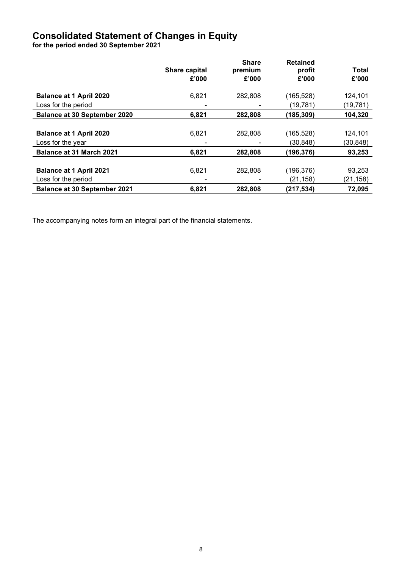# **Consolidated Statement of Changes in Equity**

**for the period ended 30 September 2021**

|                                     | Share capital | <b>Share</b><br>premium | <b>Retained</b><br>profit | <b>Total</b> |
|-------------------------------------|---------------|-------------------------|---------------------------|--------------|
|                                     | £'000         | £'000                   | £'000                     | £'000        |
| <b>Balance at 1 April 2020</b>      | 6,821         | 282,808                 | (165, 528)                | 124,101      |
| Loss for the period                 |               |                         | (19, 781)                 | (19, 781)    |
| <b>Balance at 30 September 2020</b> | 6,821         | 282,808                 | (185,309)                 | 104,320      |
|                                     |               |                         |                           |              |
| <b>Balance at 1 April 2020</b>      | 6,821         | 282,808                 | (165, 528)                | 124,101      |
| Loss for the year                   |               |                         | (30,848)                  | (30,848)     |
| <b>Balance at 31 March 2021</b>     | 6,821         | 282,808                 | (196,376)                 | 93,253       |
|                                     |               |                         |                           |              |
| <b>Balance at 1 April 2021</b>      | 6,821         | 282,808                 | (196,376)                 | 93,253       |
| Loss for the period                 |               |                         | (21, 158)                 | (21,158)     |
| <b>Balance at 30 September 2021</b> | 6,821         | 282,808                 | (217,534)                 | 72,095       |

The accompanying notes form an integral part of the financial statements.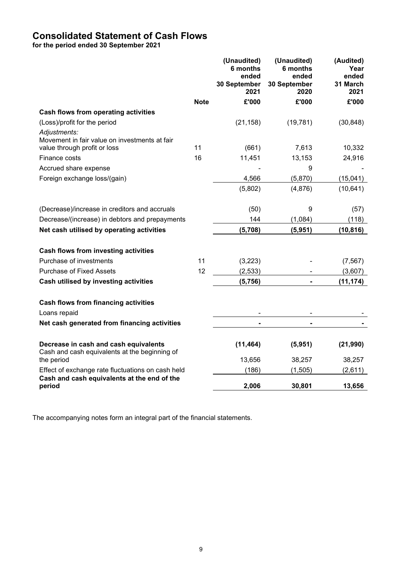# <span id="page-10-0"></span>**Consolidated Statement of Cash Flows**

**for the period ended 30 September 2021**

|                                                                                               |             | (Unaudited)<br>6 months<br>ended<br>30 September<br>2021 | (Unaudited)<br>6 months<br>ended<br>30 September<br>2020 | (Audited)<br>Year<br>ended<br>31 March<br>2021 |
|-----------------------------------------------------------------------------------------------|-------------|----------------------------------------------------------|----------------------------------------------------------|------------------------------------------------|
|                                                                                               | <b>Note</b> | £'000                                                    | £'000                                                    | £'000                                          |
| Cash flows from operating activities                                                          |             |                                                          |                                                          |                                                |
| (Loss)/profit for the period                                                                  |             | (21, 158)                                                | (19, 781)                                                | (30, 848)                                      |
| Adjustments:<br>Movement in fair value on investments at fair<br>value through profit or loss | 11          | (661)                                                    | 7,613                                                    | 10,332                                         |
| Finance costs                                                                                 | 16          | 11,451                                                   | 13,153                                                   | 24,916                                         |
| Accrued share expense                                                                         |             |                                                          | 9                                                        |                                                |
|                                                                                               |             |                                                          |                                                          |                                                |
| Foreign exchange loss/(gain)                                                                  |             | 4,566                                                    | (5,870)                                                  | (15,041)                                       |
|                                                                                               |             | (5,802)                                                  | (4,876)                                                  | (10, 641)                                      |
| (Decrease)/increase in creditors and accruals                                                 |             | (50)                                                     | 9                                                        | (57)                                           |
| Decrease/(increase) in debtors and prepayments                                                |             | 144                                                      | (1,084)                                                  | (118)                                          |
| Net cash utilised by operating activities                                                     |             | (5,708)                                                  | (5,951)                                                  | (10, 816)                                      |
| Cash flows from investing activities                                                          |             |                                                          |                                                          |                                                |
| Purchase of investments                                                                       | 11          | (3,223)                                                  |                                                          | (7, 567)                                       |
| <b>Purchase of Fixed Assets</b>                                                               | 12          | (2, 533)                                                 |                                                          | (3,607)                                        |
| Cash utilised by investing activities                                                         |             | (5,756)                                                  | $\blacksquare$                                           | (11, 174)                                      |
| <b>Cash flows from financing activities</b>                                                   |             |                                                          |                                                          |                                                |
| Loans repaid                                                                                  |             |                                                          |                                                          |                                                |
| Net cash generated from financing activities                                                  |             |                                                          |                                                          |                                                |
| Decrease in cash and cash equivalents<br>Cash and cash equivalents at the beginning of        |             | (11, 464)                                                | (5,951)                                                  | (21, 990)                                      |
| the period                                                                                    |             | 13,656                                                   | 38,257                                                   | 38,257                                         |
| Effect of exchange rate fluctuations on cash held                                             |             | (186)                                                    | (1, 505)                                                 | (2,611)                                        |
| Cash and cash equivalents at the end of the<br>period                                         |             | 2,006                                                    | 30,801                                                   | 13,656                                         |

The accompanying notes form an integral part of the financial statements.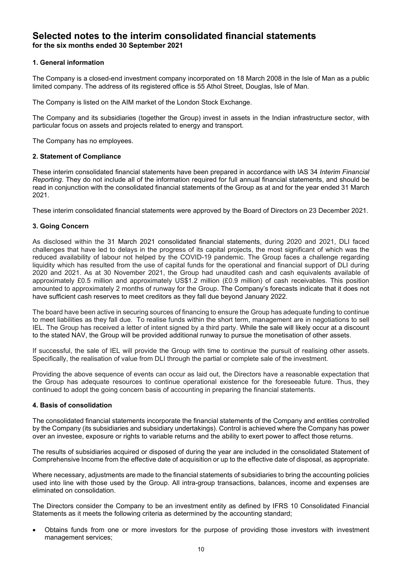## <span id="page-11-0"></span>**Selected notes to the interim consolidated financial statements for the six months ended 30 September 2021**

### **1. General information**

The Company is a closed-end investment company incorporated on 18 March 2008 in the Isle of Man as a public limited company. The address of its registered office is 55 Athol Street, Douglas, Isle of Man.

The Company is listed on the AIM market of the London Stock Exchange.

The Company and its subsidiaries (together the Group) invest in assets in the Indian infrastructure sector, with particular focus on assets and projects related to energy and transport.

The Company has no employees.

#### **2. Statement of Compliance**

These interim consolidated financial statements have been prepared in accordance with IAS 34 *Interim Financial Reporting*. They do not include all of the information required for full annual financial statements, and should be read in conjunction with the consolidated financial statements of the Group as at and for the year ended 31 March 2021.

These interim consolidated financial statements were approved by the Board of Directors on 23 December 2021.

#### **3. Going Concern**

As disclosed within the 31 March 2021 consolidated financial statements, during 2020 and 2021, DLI faced challenges that have led to delays in the progress of its capital projects, the most significant of which was the reduced availability of labour not helped by the COVID-19 pandemic. The Group faces a challenge regarding liquidity which has resulted from the use of capital funds for the operational and financial support of DLI during 2020 and 2021. As at 30 November 2021, the Group had unaudited cash and cash equivalents available of approximately £0.5 million and approximately US\$1.2 million (£0.9 million) of cash receivables. This position amounted to approximately 2 months of runway for the Group. The Company's forecasts indicate that it does not have sufficient cash reserves to meet creditors as they fall due beyond January 2022.

The board have been active in securing sources of financing to ensure the Group has adequate funding to continue to meet liabilities as they fall due. To realise funds within the short term, management are in negotiations to sell IEL. The Group has received a letter of intent signed by a third party. While the sale will likely occur at a discount to the stated NAV, the Group will be provided additional runway to pursue the monetisation of other assets.

If successful, the sale of IEL will provide the Group with time to continue the pursuit of realising other assets. Specifically, the realisation of value from DLI through the partial or complete sale of the investment.

Providing the above sequence of events can occur as laid out, the Directors have a reasonable expectation that the Group has adequate resources to continue operational existence for the foreseeable future. Thus, they continued to adopt the going concern basis of accounting in preparing the financial statements.

#### **4. Basis of consolidation**

The consolidated financial statements incorporate the financial statements of the Company and entities controlled by the Company (its subsidiaries and subsidiary undertakings). Control is achieved where the Company has power over an investee, exposure or rights to variable returns and the ability to exert power to affect those returns.

The results of subsidiaries acquired or disposed of during the year are included in the consolidated Statement of Comprehensive Income from the effective date of acquisition or up to the effective date of disposal, as appropriate.

Where necessary, adjustments are made to the financial statements of subsidiaries to bring the accounting policies used into line with those used by the Group. All intra-group transactions, balances, income and expenses are eliminated on consolidation.

The Directors consider the Company to be an investment entity as defined by IFRS 10 Consolidated Financial Statements as it meets the following criteria as determined by the accounting standard;

• Obtains funds from one or more investors for the purpose of providing those investors with investment management services;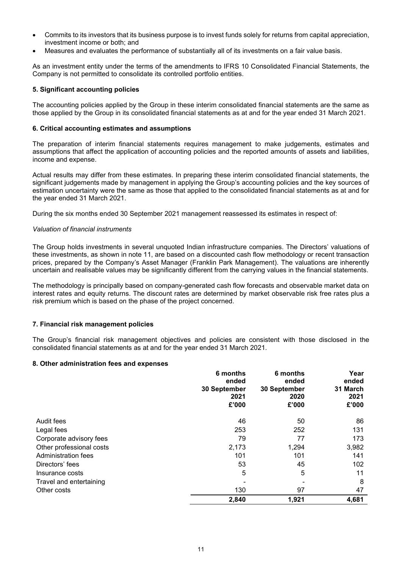- Commits to its investors that its business purpose is to invest funds solely for returns from capital appreciation, investment income or both; and
- Measures and evaluates the performance of substantially all of its investments on a fair value basis.

As an investment entity under the terms of the amendments to IFRS 10 Consolidated Financial Statements, the Company is not permitted to consolidate its controlled portfolio entities.

#### **5. Significant accounting policies**

The accounting policies applied by the Group in these interim consolidated financial statements are the same as those applied by the Group in its consolidated financial statements as at and for the year ended 31 March 2021.

#### **6. Critical accounting estimates and assumptions**

The preparation of interim financial statements requires management to make judgements, estimates and assumptions that affect the application of accounting policies and the reported amounts of assets and liabilities, income and expense.

Actual results may differ from these estimates. In preparing these interim consolidated financial statements, the significant judgements made by management in applying the Group's accounting policies and the key sources of estimation uncertainty were the same as those that applied to the consolidated financial statements as at and for the year ended 31 March 2021.

During the six months ended 30 September 2021 management reassessed its estimates in respect of:

#### *Valuation of financial instruments*

The Group holds investments in several unquoted Indian infrastructure companies. The Directors' valuations of these investments, as shown in note 11, are based on a discounted cash flow methodology or recent transaction prices, prepared by the Company's Asset Manager (Franklin Park Management). The valuations are inherently uncertain and realisable values may be significantly different from the carrying values in the financial statements.

The methodology is principally based on company-generated cash flow forecasts and observable market data on interest rates and equity returns. The discount rates are determined by market observable risk free rates plus a risk premium which is based on the phase of the project concerned.

#### **7. Financial risk management policies**

The Group's financial risk management objectives and policies are consistent with those disclosed in the consolidated financial statements as at and for the year ended 31 March 2021.

#### **8. Other administration fees and expenses**

|                          | 6 months<br>ended<br>30 September<br>2021<br>£'000 | 6 months<br>ended<br>30 September<br>2020<br>£'000 | Year<br>ended<br>31 March<br>2021<br>£'000 |
|--------------------------|----------------------------------------------------|----------------------------------------------------|--------------------------------------------|
| Audit fees               | 46                                                 | 50                                                 | 86                                         |
| Legal fees               | 253                                                | 252                                                | 131                                        |
| Corporate advisory fees  | 79                                                 | 77                                                 | 173                                        |
| Other professional costs | 2,173                                              | 1,294                                              | 3,982                                      |
| Administration fees      | 101                                                | 101                                                | 141                                        |
| Directors' fees          | 53                                                 | 45                                                 | 102                                        |
| Insurance costs          | 5                                                  | 5                                                  | 11                                         |
| Travel and entertaining  |                                                    |                                                    | 8                                          |
| Other costs              | 130                                                | 97                                                 | 47                                         |
|                          | 2,840                                              | 1,921                                              | 4,681                                      |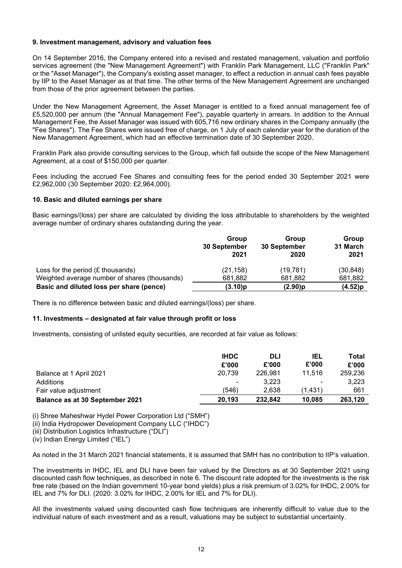#### **9. Investment management, advisory and valuation fees**

On 14 September 2016, the Company entered into a revised and restated management, valuation and portfolio services agreement (the "New Management Agreement") with Franklin Park Management, LLC ("Franklin Park" or the "Asset Manager"), the Company's existing asset manager, to effect a reduction in annual cash fees payable by IIP to the Asset Manager as at that time. The other terms of the New Management Agreement are unchanged from those of the prior agreement between the parties.

Under the New Management Agreement, the Asset Manager is entitled to a fixed annual management fee of £5,520,000 per annum (the "Annual Management Fee"), payable quarterly in arrears. In addition to the Annual Management Fee, the Asset Manager was issued with 605,716 new ordinary shares in the Company annually (the "Fee Shares"). The Fee Shares were issued free of charge, on 1 July of each calendar year for the duration of the New Management Agreement, which had an effective termination date of 30 September 2020.

Franklin Park also provide consulting services to the Group, which fall outside the scope of the New Management Agreement, at a cost of \$150,000 per quarter.

Fees including the accrued Fee Shares and consulting fees for the period ended 30 September 2021 were £2,962,000 (30 September 2020: £2,964,000).

#### **10. Basic and diluted earnings per share**

Basic earnings/(loss) per share are calculated by dividing the loss attributable to shareholders by the weighted average number of ordinary shares outstanding during the year.

|                                               | Group        | Group        | Group    |
|-----------------------------------------------|--------------|--------------|----------|
|                                               | 30 September | 30 September | 31 March |
|                                               | 2021         | 2020         | 2021     |
| Loss for the period $(E$ thousands)           | (21, 158)    | (19,781)     | (30,848) |
| Weighted average number of shares (thousands) | 681,882      | 681,882      | 681,882  |
| Basic and diluted loss per share (pence)      | (3.10)p      | (2.90)p      | (4.52)p  |

There is no difference between basic and diluted earnings/(loss) per share.

#### **11. Investments – designated at fair value through profit or loss**

Investments, consisting of unlisted equity securities, are recorded at fair value as follows:

|                                 | <b>IHDC</b><br>£'000 | <b>DLI</b><br>£'000 | IEL<br>£'000 | Total<br>£'000 |
|---------------------------------|----------------------|---------------------|--------------|----------------|
| Balance at 1 April 2021         | 20.739               | 226.981             | 11.516       | 259,236        |
| Additions                       | $\blacksquare$       | 3.223               | ٠            | 3.223          |
| Fair value adjustment           | (546)                | 2.638               | (1.431)      | 661            |
| Balance as at 30 September 2021 | 20.193               | 232.842             | 10.085       | 263,120        |

(i) Shree Maheshwar Hydel Power Corporation Ltd ("SMH")

(ii) India Hydropower Development Company LLC ("IHDC")

(iii) Distribution Logistics Infrastructure ("DLI")

(iv) Indian Energy Limited ("IEL")

As noted in the 31 March 2021 financial statements, it is assumed that SMH has no contribution to IIP's valuation.

The investments in IHDC, IEL and DLI have been fair valued by the Directors as at 30 September 2021 using discounted cash flow techniques, as described in note 6. The discount rate adopted for the investments is the risk free rate (based on the Indian government 10-year bond yields) plus a risk premium of 3.02% for IHDC, 2.00% for IEL and 7% for DLI. (2020: 3.02% for IHDC, 2.00% for IEL and 7% for DLI).

All the investments valued using discounted cash flow techniques are inherently difficult to value due to the individual nature of each investment and as a result, valuations may be subject to substantial uncertainty.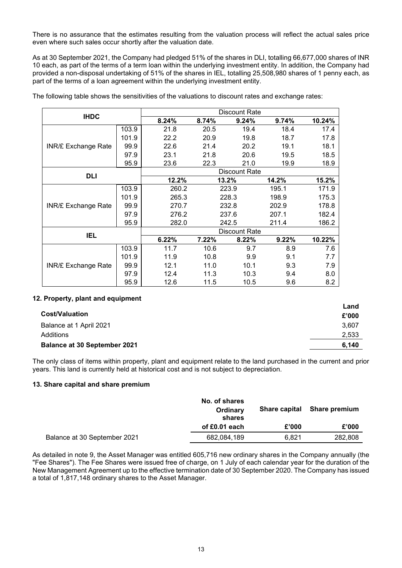There is no assurance that the estimates resulting from the valuation process will reflect the actual sales price even where such sales occur shortly after the valuation date.

As at 30 September 2021, the Company had pledged 51% of the shares in DLI, totalling 66,677,000 shares of INR 10 each, as part of the terms of a term loan within the underlying investment entity. In addition, the Company had provided a non-disposal undertaking of 51% of the shares in IEL, totalling 25,508,980 shares of 1 penny each, as part of the terms of a loan agreement within the underlying investment entity.

| <b>IHDC</b>                |       | Discount Rate |       |                      |       |        |
|----------------------------|-------|---------------|-------|----------------------|-------|--------|
|                            |       | 8.24%         | 8.74% | 9.24%                | 9.74% | 10.24% |
|                            | 103.9 | 21.8          | 20.5  | 19.4                 | 18.4  | 17.4   |
|                            | 101.9 | 22.2          | 20.9  | 19.8                 | 18.7  | 17.8   |
| <b>INR/£ Exchange Rate</b> | 99.9  | 22.6          | 21.4  | 20.2                 | 19.1  | 18.1   |
|                            | 97.9  | 23.1          | 21.8  | 20.6                 | 19.5  | 18.5   |
|                            | 95.9  | 23.6          | 22.3  | 21.0                 | 19.9  | 18.9   |
|                            |       | Discount Rate |       |                      |       |        |
| <b>DLI</b>                 |       | 12.2%         |       | 13.2%                | 14.2% | 15.2%  |
|                            | 103.9 | 260.2         |       | 223.9                | 195.1 | 171.9  |
|                            | 101.9 | 265.3         |       | 228.3                | 198.9 | 175.3  |
| <b>INR/£ Exchange Rate</b> | 99.9  | 270.7         |       | 232.8                | 202.9 | 178.8  |
|                            | 97.9  | 276.2         |       | 237.6                | 207.1 | 182.4  |
|                            | 95.9  | 282.0         |       | 242.5                | 211.4 | 186.2  |
|                            |       |               |       | <b>Discount Rate</b> |       |        |
| IEL                        |       | 6.22%         | 7.22% | 8.22%                | 9.22% | 10.22% |
|                            | 103.9 | 11.7          | 10.6  | 9.7                  | 8.9   | 7.6    |
|                            | 101.9 | 11.9          | 10.8  | 9.9                  | 9.1   | 7.7    |
| <b>INR/£ Exchange Rate</b> | 99.9  | 12.1          | 11.0  | 10.1                 | 9.3   | 7.9    |
|                            | 97.9  | 12.4          | 11.3  | 10.3                 | 9.4   | 8.0    |
|                            | 95.9  | 12.6          | 11.5  | 10.5                 | 9.6   | 8.2    |

The following table shows the sensitivities of the valuations to discount rates and exchange rates:

#### **12. Property, plant and equipment**

| <b>Cost/Valuation</b>               | Land<br>£'000 |
|-------------------------------------|---------------|
| Balance at 1 April 2021             | 3.607         |
| Additions                           | 2,533         |
| <b>Balance at 30 September 2021</b> | 6.140         |

The only class of items within property, plant and equipment relate to the land purchased in the current and prior years. This land is currently held at historical cost and is not subject to depreciation.

#### **13. Share capital and share premium**

|                              | No. of shares<br>Ordinary<br>shares | <b>Share capital</b> | Share premium |
|------------------------------|-------------------------------------|----------------------|---------------|
|                              | of £0.01 each                       | £'000                | £'000         |
| Balance at 30 September 2021 | 682,084,189                         | 6.821                | 282,808       |

As detailed in note 9, the Asset Manager was entitled 605,716 new ordinary shares in the Company annually (the "Fee Shares"). The Fee Shares were issued free of charge, on 1 July of each calendar year for the duration of the New Management Agreement up to the effective termination date of 30 September 2020. The Company has issued a total of 1,817,148 ordinary shares to the Asset Manager.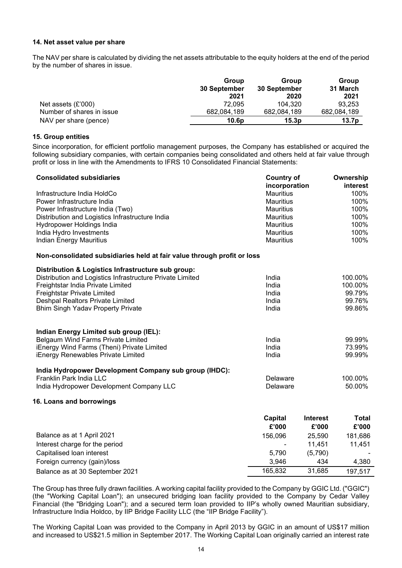#### **14. Net asset value per share**

The NAV per share is calculated by dividing the net assets attributable to the equity holders at the end of the period by the number of shares in issue.

|                           | Group<br>30 September | Group<br>30 September | Group<br>31 March |
|---------------------------|-----------------------|-----------------------|-------------------|
|                           | 2021                  | 2020                  | 2021              |
| Net assets $(E'000)$      | 72.095                | 104.320               | 93.253            |
| Number of shares in issue | 682.084.189           | 682,084,189           | 682,084,189       |
| NAV per share (pence)     | 10.6 <sub>D</sub>     | 15.3p                 | 13.7p             |

#### **15. Group entities**

Since incorporation, for efficient portfolio management purposes, the Company has established or acquired the following subsidiary companies, with certain companies being consolidated and others held at fair value through profit or loss in line with the Amendments to IFRS 10 Consolidated Financial Statements:

| <b>Consolidated subsidiaries</b>                                        | <b>Country of</b><br>incorporation   |                 | Ownership<br>interest |
|-------------------------------------------------------------------------|--------------------------------------|-----------------|-----------------------|
| Infrastructure India HoldCo                                             | <b>Mauritius</b>                     |                 | 100%                  |
| Power Infrastructure India                                              | <b>Mauritius</b>                     |                 | 100%                  |
| Power Infrastructure India (Two)                                        | <b>Mauritius</b>                     |                 | 100%                  |
| Distribution and Logistics Infrastructure India                         | <b>Mauritius</b>                     |                 | 100%                  |
| Hydropower Holdings India                                               | <b>Mauritius</b>                     |                 | 100%                  |
| India Hydro Investments<br><b>Indian Energy Mauritius</b>               | <b>Mauritius</b><br><b>Mauritius</b> |                 | 100%<br>100%          |
|                                                                         |                                      |                 |                       |
| Non-consolidated subsidiaries held at fair value through profit or loss |                                      |                 |                       |
| Distribution & Logistics Infrastructure sub group:                      |                                      |                 |                       |
| Distribution and Logistics Infrastructure Private Limited               | India<br>India                       |                 | 100.00%<br>100.00%    |
| Freightstar India Private Limited<br>Freightstar Private Limited        | India                                |                 | 99.79%                |
| Deshpal Realtors Private Limited                                        | India                                |                 | 99.76%                |
| <b>Bhim Singh Yadav Property Private</b>                                | India                                |                 | 99.86%                |
| Indian Energy Limited sub group (IEL):                                  |                                      |                 |                       |
| Belgaum Wind Farms Private Limited                                      | India                                |                 | 99.99%                |
| iEnergy Wind Farms (Theni) Private Limited                              | India                                |                 | 73.99%                |
| iEnergy Renewables Private Limited                                      | India                                |                 | 99.99%                |
| India Hydropower Development Company sub group (IHDC):                  |                                      |                 |                       |
| Franklin Park India LLC                                                 | Delaware                             |                 | 100.00%               |
| India Hydropower Development Company LLC                                | Delaware                             |                 | 50.00%                |
| 16. Loans and borrowings                                                |                                      |                 |                       |
|                                                                         | <b>Capital</b>                       | <b>Interest</b> | <b>Total</b>          |
|                                                                         | £'000                                | £'000           | £'000                 |
| Balance as at 1 April 2021                                              | 156,096                              | 25,590          | 181,686               |
| Interest charge for the period                                          |                                      | 11,451          | 11,451                |
| Capitalised loan interest                                               | 5,790                                | (5,790)         |                       |
| Foreign currency (gain)/loss                                            | 3,946                                | 434             | 4,380                 |
| Balance as at 30 September 2021                                         | 165,832                              | 31,685          | 197,517               |

The Group has three fully drawn facilities. A working capital facility provided to the Company by GGIC Ltd. ("GGIC") (the "Working Capital Loan"); an unsecured bridging loan facility provided to the Company by Cedar Valley Financial (the "Bridging Loan"); and a secured term loan provided to IIP's wholly owned Mauritian subsidiary, Infrastructure India Holdco, by IIP Bridge Facility LLC (the "IIP Bridge Facility").

The Working Capital Loan was provided to the Company in April 2013 by GGIC in an amount of US\$17 million and increased to US\$21.5 million in September 2017. The Working Capital Loan originally carried an interest rate